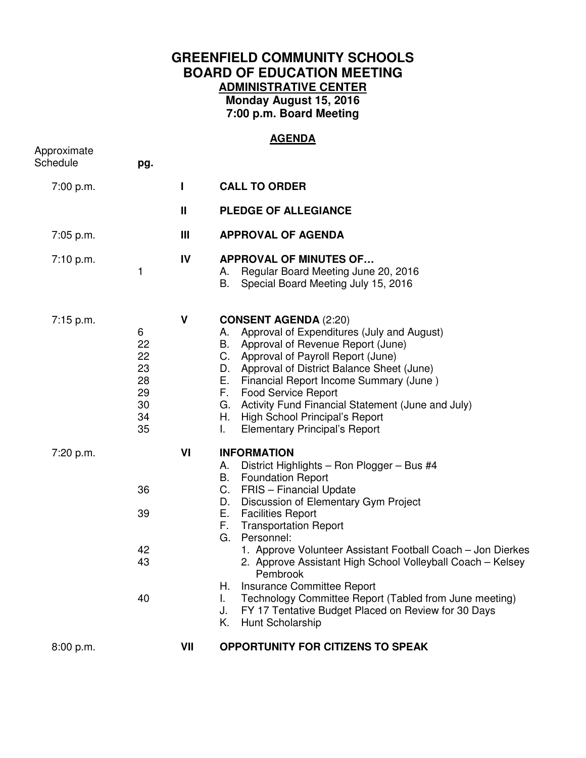## **GREENFIELD COMMUNITY SCHOOLS BOARD OF EDUCATION MEETING ADMINISTRATIVE CENTER Monday August 15, 2016 7:00 p.m. Board Meeting**

## **AGENDA**

| Approximate<br>Schedule | pg.                                               |              |                                                                                                                                                                                                                                                                                                                                                                                                                                                                                                                                                                                            |
|-------------------------|---------------------------------------------------|--------------|--------------------------------------------------------------------------------------------------------------------------------------------------------------------------------------------------------------------------------------------------------------------------------------------------------------------------------------------------------------------------------------------------------------------------------------------------------------------------------------------------------------------------------------------------------------------------------------------|
| 7:00 p.m.               |                                                   | L            | <b>CALL TO ORDER</b>                                                                                                                                                                                                                                                                                                                                                                                                                                                                                                                                                                       |
|                         |                                                   | $\mathbf{I}$ | <b>PLEDGE OF ALLEGIANCE</b>                                                                                                                                                                                                                                                                                                                                                                                                                                                                                                                                                                |
| 7:05 p.m.               |                                                   | Ш            | <b>APPROVAL OF AGENDA</b>                                                                                                                                                                                                                                                                                                                                                                                                                                                                                                                                                                  |
| 7:10 p.m.               | 1                                                 | IV           | <b>APPROVAL OF MINUTES OF</b><br>Regular Board Meeting June 20, 2016<br>А.<br>Special Board Meeting July 15, 2016<br>В.                                                                                                                                                                                                                                                                                                                                                                                                                                                                    |
| 7:15 p.m.               | 6<br>22<br>22<br>23<br>28<br>29<br>30<br>34<br>35 | $\mathsf{V}$ | <b>CONSENT AGENDA (2:20)</b><br>Approval of Expenditures (July and August)<br>А.<br>Approval of Revenue Report (June)<br>В.<br>C. Approval of Payroll Report (June)<br>D. Approval of District Balance Sheet (June)<br>E. Financial Report Income Summary (June)<br>F. Food Service Report<br>G. Activity Fund Financial Statement (June and July)<br>H. High School Principal's Report<br><b>Elementary Principal's Report</b><br>L.                                                                                                                                                      |
| 7:20 p.m.               | 36<br>39<br>42<br>43<br>40                        | VI           | <b>INFORMATION</b><br>District Highlights - Ron Plogger - Bus #4<br>А.<br>В.<br><b>Foundation Report</b><br>C. FRIS - Financial Update<br>D. Discussion of Elementary Gym Project<br>E. Facilities Report<br>F. Transportation Report<br>G. Personnel:<br>1. Approve Volunteer Assistant Football Coach – Jon Dierkes<br>2. Approve Assistant High School Volleyball Coach – Kelsey<br>Pembrook<br>Insurance Committee Report<br>Н.<br>Technology Committee Report (Tabled from June meeting)<br>I.<br>FY 17 Tentative Budget Placed on Review for 30 Days<br>J.<br>Κ.<br>Hunt Scholarship |
| 8:00 p.m.               |                                                   | VII          | <b>OPPORTUNITY FOR CITIZENS TO SPEAK</b>                                                                                                                                                                                                                                                                                                                                                                                                                                                                                                                                                   |